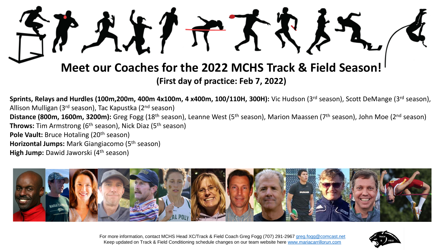

**Sprints, Relays and Hurdles (100m,200m, 400m 4x100m, 4 x400m, 100/110H, 300H):** Vic Hudson (3rd season), Scott DeMange (3rd season), Allison Mulligan (3rd season), Tac Kapustka (2nd season) **Distance (800m, 1600m, 3200m):** Greg Fogg (18th season), Leanne West (5th season), Marion Maassen (7th season), John Moe (2nd season) **Throws:** Tim Armstrong (6<sup>th</sup> season), Nick Diaz (5<sup>th</sup> season) **Pole Vault:** Bruce Hotaling (20<sup>th</sup> season) **Horizontal Jumps:** Mark Giangiacomo (5th season) **High Jump:** Dawid Jaworski (4<sup>th</sup> season)



For more information, contact MCHS Head XC/Track & Field Coach Greg Fogg (707) 291-2967 [greg.fogg@comcast.net](mailto:greg.fogg@comcast.net) Keep updated on Track & Field Conditioning schedule changes on our team website here [www.mariacarrillorun.com](http://www.mariacarrillorun.com/)